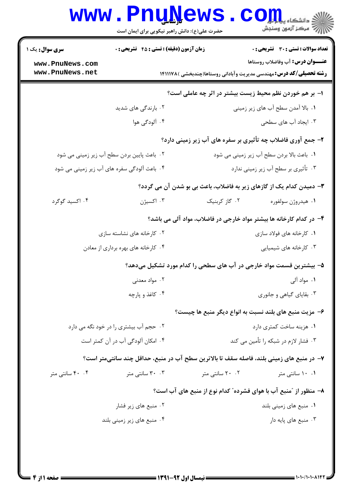## WWW.Pnu S . Com

| <b>سری سوال :</b> یک ۱ | <b>زمان آزمون (دقیقه) : تستی : 45 تشریحی : 0</b> |                 | نعداد سوالات : تستي : 30 ٪ تشريحي : 0                                                    |
|------------------------|--------------------------------------------------|-----------------|------------------------------------------------------------------------------------------|
| www.PnuNews.com        |                                                  |                 | <b>عنـــوان درس:</b> آب وفاضلاب روستاها                                                  |
| www.PnuNews.net        |                                                  |                 | <b>رشته تحصیلی/کد درس:</b> مهندسی مدیریت وآبادانی روستاها(چندبخشی )۱۴۱۱۱۷۸               |
|                        |                                                  |                 | ا– بر هم خوردن نظم محیط زیست بیشتر در اثر چه عاملی است؟                                  |
|                        | ۰۲ بارندگی های شدید                              |                 | ۰۱ بالا آمدن سطح آب های زیر زمینی                                                        |
|                        | ۰۴ آلودگی هوا                                    |                 | ۰۳ ایجاد آب های سطحی                                                                     |
|                        |                                                  |                 | ۲- جمع آوری فاضلاب چه تأثیری بر سفره های آب زیر زمینی دارد؟                              |
|                        | ۲. باعث پایین بردن سطح آب زیر زمینی می شود       |                 | ١. باعث بالا بردن سطح آب زير زميني مي شود                                                |
|                        | ۰۴ باعث آلودگی سفره های آب زیر زمینی می شود      |                 | ۰۳ تأثیری بر سطح آب زیر زمینی ندارد                                                      |
|                        |                                                  |                 | ۳- دمیدن کدام یک از گازهای زیر به فاضلاب، باعث بی بو شدن آن می گردد؟                     |
| ۰۴ اکسید گوگرد         | ۰۳ اکسیژن                                        | ۰۲ گاز کربنیک   | ٠١ هيدروژن سولفوره                                                                       |
|                        |                                                  |                 | ۴- در کدام کارخانه ها بیشتر مواد خارجی در فاضلاب، مواد آلی می باشد؟                      |
|                        | ۲. کارخانه های نشاسته سازی                       |                 | ۰۱ کارخانه های فولاد سازی                                                                |
|                        | ۰۴ کارخانه های بهره برداری از معادن              |                 | ۰۳ کارخانه های شیمیایی                                                                   |
|                        |                                                  |                 | ۵– بیشترین قسمت مواد خارجی در آب های سطحی را کدام مورد تشکیل میدهد؟                      |
|                        | ۰۲ مواد معدنی                                    |                 | ۰۱ مواد آلی                                                                              |
|                        | ۰۴ کاغذ و پارچه                                  |                 | ۰۳ بقایای گیاهی و جانوری                                                                 |
|                        |                                                  |                 | ۶– مزیت منبع های بلند نسبت به انواع دیگر منبع ها چیست؟                                   |
|                        | ۰۲ حجم آب بیشتری را در خود نگه می دارد           |                 | ۰۱ هزینه ساخت کمتری دارد                                                                 |
|                        | ۰۴ امکان آلودگی آب در آن کمتر است                |                 | ۰۳ فشار لازم در شبکه را تأمین می کند                                                     |
|                        |                                                  |                 | ٧- در منبع های زمینی بلند، فاصله سقف تا بالاترین سطح آب در منبع، حداقل چند سانتیمتر است؟ |
| ۴۰ ۴۰ سانتی متر        | ۰۳ سانتے متر                                     | ۲۰ ۲۰ سانتی متر | ۰.۱ سانتی متر                                                                            |
|                        |                                                  |                 | ۸– منظور از "منبع آب با هوای فشرده" کدام نوع از منبع های آب است؟                         |
|                        | ۰۲ منبع های زیر فشار                             |                 | ۰۱ منبع های زمینی بلند                                                                   |
|                        | ۰۴ منبع های زیر زمینی بلند                       |                 | ۰۳ منبع های پایه دار                                                                     |
|                        |                                                  |                 |                                                                                          |
|                        |                                                  |                 |                                                                                          |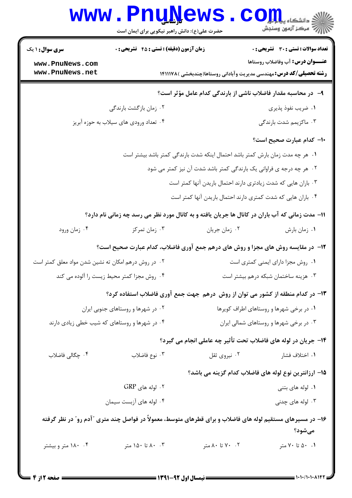|                                                                                                                      | www.PnuNews<br>حضرت علی(ع): دانش راهبر نیکویی برای ایمان است                      |                                                                            | الاد دانشگاه پيام <del>لور</del><br>الا مرکز آزمون وسنجش |  |
|----------------------------------------------------------------------------------------------------------------------|-----------------------------------------------------------------------------------|----------------------------------------------------------------------------|----------------------------------------------------------|--|
| <b>سری سوال : ۱ یک</b>                                                                                               | زمان آزمون (دقیقه) : تستی : 45 آتشریحی : 0                                        |                                                                            | تعداد سوالات : تستي : 30 - تشريحي : 0                    |  |
| www.PnuNews.com                                                                                                      |                                                                                   |                                                                            | <b>عنـــوان درس:</b> آب وفاضلاب روستاها                  |  |
| www.PnuNews.net                                                                                                      |                                                                                   | <b>رشته تحصیلی/کد درس:</b> مهندسی مدیریت وآبادانی روستاها(چندبخشی )۱۴۱۱۱۷۸ |                                                          |  |
| ۹– در محاسبه مقدار فاضلاب ناشی از بارندگی کدام عامل مؤثر است؟                                                        |                                                                                   |                                                                            |                                                          |  |
|                                                                                                                      | ۰۲ زمان بازگشت بارندگی                                                            |                                                                            | ٠١ ضريب نفوذ پذيري                                       |  |
|                                                                                                                      | ۰۴ تعداد ورودي هاي سيلاب به حوزه أبريز                                            |                                                                            | ۰۳ ماکزیمم شدت بارندگی                                   |  |
|                                                                                                                      |                                                                                   |                                                                            | <b>۱۰</b> کدام عبارت صحیح است؟                           |  |
| ۰۱ هر چه مدت زمان بارش کمتر باشد احتمال اینکه شدت بارندگی کمتر باشد بیشتر است                                        |                                                                                   |                                                                            |                                                          |  |
| ۰۲ هر چه درجه ی فراوانی یک بارندگی کمتر باشد شدت آن نیز کمتر می شود                                                  |                                                                                   |                                                                            |                                                          |  |
|                                                                                                                      | ۰۳ باران هایی که شدت زیادتری دارند احتمال باریدن آنها کمتر است                    |                                                                            |                                                          |  |
|                                                                                                                      |                                                                                   | ۰۴ باران هایی که شدت کمتری دارند احتمال باریدن آنها کمتر است               |                                                          |  |
| 11- مدت زمانی که آب باران در کانال ها جریان یافته و به کانال مورد نظر می رسد چه زمانی نام دارد؟                      |                                                                                   |                                                                            |                                                          |  |
| ۰۴ زمان ورود                                                                                                         | ۰۳ زمان تمرکز                                                                     | ۰۲ زمان جريان                                                              | ٠١ زمان بارش                                             |  |
|                                                                                                                      | 12- ً در مقایسه روش های مجزا و روش های درهم جمع آوری فاضلاب، کدام عبارت صحیح است؟ |                                                                            |                                                          |  |
| ۰۲ در روش درهم امکان ته نشین شدن مواد معلق کمتر است                                                                  |                                                                                   |                                                                            | ٠١ روش مجزا داراى ايمنى كمترى است                        |  |
| ۰۴ روش مجزا کمتر محیط زیست را آلوده می کند                                                                           |                                                                                   |                                                                            | ۰۳ هزینه ساختمان شبکه درهم بیشتر است                     |  |
|                                                                                                                      | ۱۳- در کدام منطقه از کشور می توان از روش درهم جهت جمع آوری فاضلاب استفاده کرد؟    |                                                                            |                                                          |  |
| ۰۲ در شهرها و روستاهای جنوبی ایران                                                                                   |                                                                                   | ٠١ در برخي شهرها و روستاهاي اطراف كويرها                                   |                                                          |  |
| ۰۴ در شهرها و روستاهای که شیب خطی زیادی دارند                                                                        |                                                                                   | ۰۳ در برخی شهرها و روستاهای شمالی ایران                                    |                                                          |  |
| ۱۴– جریان در لوله های فاضلاب تحت تأثیر چه عاملی انجام می گیرد؟                                                       |                                                                                   |                                                                            |                                                          |  |
| ۰۴ چگالی فاضلاب                                                                                                      | ۰۳ نوع فاضلاب                                                                     | ۰۲ نیروی ثقل                                                               | ۰۱ اختلاف فشار                                           |  |
|                                                                                                                      |                                                                                   |                                                                            | ۱۵– ارزانترین نوع لوله های فاضلاب کدام گزینه می باشد؟    |  |
|                                                                                                                      | ۰۲ لوله های GRP                                                                   |                                                                            | ۰۱ لوله های بتنی                                         |  |
|                                                                                                                      | ۰۴ لوله های آزبست سیمان                                                           |                                                                            | ۰۳ لوله های چدنی                                         |  |
| ۱۶– در مسیرهای مستقیم لوله های فاضلاب و برای قطرهای متوسط، معمولاً در فواصل چند متری "آدم رو" در نظر گرفته<br>مىشود؟ |                                                                                   |                                                                            |                                                          |  |
| ۰۴ ۱۸۰ متر و بیشتر                                                                                                   | ۸۰ ۸۰ تا ۱۵۰ متر                                                                  | ۰۲ تا ۸۰ متر                                                               | ۰۱ ۵۰ تا ۷۰ متر                                          |  |
|                                                                                                                      |                                                                                   |                                                                            |                                                          |  |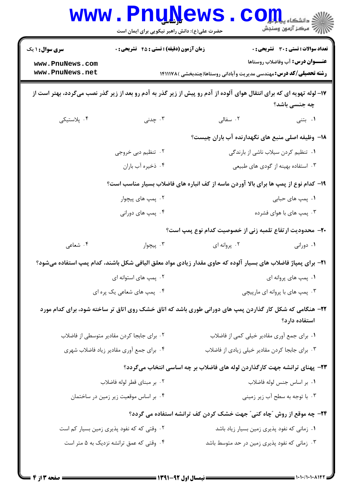|                                                                                                                                        | <b>www.PnuNews</b><br>حضرت علی(ع): دانش راهبر نیکویی برای ایمان است |                                                                                                               | $\mathbf{C}\mathbf{O}$ چ دانشڪاه پيا<br>رِ آھرڪز آزمون وسنڊش                     |  |
|----------------------------------------------------------------------------------------------------------------------------------------|---------------------------------------------------------------------|---------------------------------------------------------------------------------------------------------------|----------------------------------------------------------------------------------|--|
| <b>سری سوال : ۱ یک</b><br>www.PnuNews.com<br>www.PnuNews.net                                                                           | <b>زمان آزمون (دقیقه) : تستی : 45 قشریحی : 0</b>                    | <b>رشته تحصیلی/کد درس:</b> مهندسی مدیریت وآبادانی روستاها(چندبخشی )۱۴۱۱۱۷۸                                    | تعداد سوالات : تستي : 30 - تشريحي : 0<br><b>عنـــوان درس:</b> آب وفاضلاب روستاها |  |
| ۱۷– لوله تهویه ای که برای انتقال هوای آلوده از آدم رو پیش از زیر گذر به آدم رو بعد از زیر گذر نصب میگردد، بهتر است از<br>چه جنسی باشد؟ |                                                                     |                                                                                                               |                                                                                  |  |
| ۰۴ پلاستیکی                                                                                                                            | ۰۳ چدنی                                                             | ۲. سفالی                                                                                                      | ۰۱ بتنی                                                                          |  |
|                                                                                                                                        |                                                                     | ۱۸– وظیفه اصلی منبع های نگهدارنده آب باران چیست؟                                                              |                                                                                  |  |
|                                                                                                                                        | ۰۲ تنظیم دبی خروجی                                                  |                                                                                                               | ۰۱ تنظیم کردن سیلاب ناشی از بارندگی                                              |  |
|                                                                                                                                        | ۰۴ ذخيره أب باران                                                   |                                                                                                               | ۰۳ استفاده بهینه از گودی های طبیعی                                               |  |
| ۱۹- کدام نوع از پمپ ها برای بالا آوردن ماسه از کف انباره های فاضلاب بسیار مناسب است؟                                                   |                                                                     |                                                                                                               |                                                                                  |  |
|                                                                                                                                        | ۰۲ پمپ های پیچوار                                                   |                                                                                                               | ۰۱ پمپ های حبابی                                                                 |  |
|                                                                                                                                        | ۰۴ پمپ های دورانی                                                   |                                                                                                               | ۰۳ پمپ های با هوای فشرده                                                         |  |
|                                                                                                                                        |                                                                     | +۲- محدودیت ارتفاع تلمبه زنی از خصوصیت کدام نوع پمپ است؟                                                      |                                                                                  |  |
| ۰۴ شعاعی                                                                                                                               | ۰۳ پیچوار                                                           | ۰۲ پروانه ای                                                                                                  | ۰۱ دورانی                                                                        |  |
|                                                                                                                                        |                                                                     | ۲۱– برای پمپاژ فاضلاب های بسیار آلوده که حاوی مقدار زیادی مواد معلق الیافی شکل باشند، کدام پمپ استفاده میشود؟ |                                                                                  |  |
|                                                                                                                                        | ۰۲ پمپ های استوانه ای                                               |                                                                                                               | ۰۱ پمپ های پروانه ای                                                             |  |
|                                                                                                                                        | ۰۴ پمپ های شعاعی یک پره ای                                          |                                                                                                               | ۰۳ پمپ های با پروانه ای مارپیچی                                                  |  |
|                                                                                                                                        |                                                                     | ۲۲– هنگامی که شکل کار گذاردن پمپ های دورانی طوری باشد که اتاق خشک روی اتاق تر ساخته شود، برای کدام مورد       | استفاده دارد؟                                                                    |  |
|                                                                                                                                        | ۰۲ برای جابجا کردن مقادیر متوسطی از فاضلاب                          | ۰۱ برای جمع آوری مقادیر خیلی کمی از فاضلاب                                                                    |                                                                                  |  |
|                                                                                                                                        | ۰۴ برای جمع آوری مقادیر زیاد فاضلاب شهری                            | ۰۳ برای جابجا کردن مقادیر خیلی زیادی از فاضلاب                                                                |                                                                                  |  |
|                                                                                                                                        |                                                                     | ۲۳- پهنای ترانشه جهت کارگذاردن لوله های فاضلاب بر چه اساسی انتخاب میگردد؟                                     |                                                                                  |  |
|                                                                                                                                        | ۰۲ بر مبنای قطر لوله فاضلاب                                         |                                                                                                               | ٠١. بر اساس جنس لوله فاضلاب                                                      |  |
|                                                                                                                                        | ۰۴ بر اساس موقعیت زیر زمین در ساختمان                               |                                                                                                               | ۰۳ با توجه به سطح آب زیر زمینی                                                   |  |
| ۲۴- چه موقع از روش "چاه کنی" جهت خشک کردن کف ترانشه استفاده می گردد؟                                                                   |                                                                     |                                                                                                               |                                                                                  |  |
|                                                                                                                                        | ۰۲ وقتی که که نفود پذیری زمین بسیار کم است                          | ۰۱ زمانی که نفود پذیری زمین بسیار زیاد باشد                                                                   |                                                                                  |  |
|                                                                                                                                        | ۰۴ وقتی که عمق ترانشه نزدیک به ۵ متر است                            | ۰۳ زمانی که نفود پذیری زمین در حد متوسط باشد                                                                  |                                                                                  |  |
|                                                                                                                                        |                                                                     |                                                                                                               |                                                                                  |  |